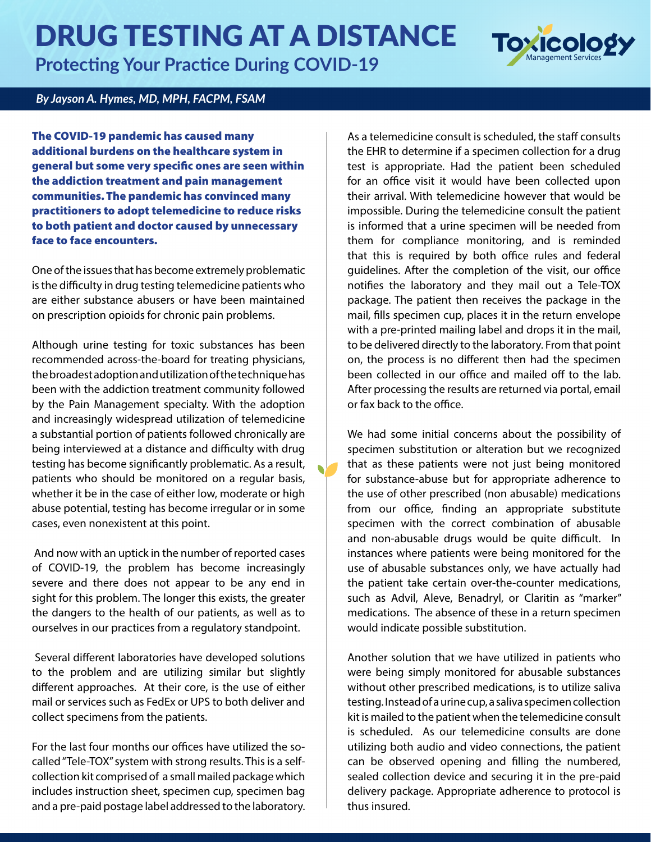## DRUG TESTING AT A DISTANCE

**Protecting Your Practice During COVID-19**



## *By Jayson A. Hymes, MD, MPH, FACPM, FSAM*

The COVID-19 pandemic has caused many additional burdens on the healthcare system in general but some very specific ones are seen within the addiction treatment and pain management communities. The pandemic has convinced many practitioners to adopt telemedicine to reduce risks to both patient and doctor caused by unnecessary face to face encounters.

One of the issues that has become extremely problematic is the difficulty in drug testing telemedicine patients who are either substance abusers or have been maintained on prescription opioids for chronic pain problems.

Although urine testing for toxic substances has been recommended across-the-board for treating physicians, the broadest adoption and utilization of the technique has been with the addiction treatment community followed by the Pain Management specialty. With the adoption and increasingly widespread utilization of telemedicine a substantial portion of patients followed chronically are being interviewed at a distance and difficulty with drug testing has become significantly problematic. As a result, patients who should be monitored on a regular basis, whether it be in the case of either low, moderate or high abuse potential, testing has become irregular or in some cases, even nonexistent at this point.

 And now with an uptick in the number of reported cases of COVID-19, the problem has become increasingly severe and there does not appear to be any end in sight for this problem. The longer this exists, the greater the dangers to the health of our patients, as well as to ourselves in our practices from a regulatory standpoint.

 Several different laboratories have developed solutions to the problem and are utilizing similar but slightly different approaches. At their core, is the use of either mail or services such as FedEx or UPS to both deliver and collect specimens from the patients.

For the last four months our offices have utilized the socalled "Tele-TOX" system with strong results. This is a selfcollection kit comprised of a small mailed package which includes instruction sheet, specimen cup, specimen bag and a pre-paid postage label addressed to the laboratory. As a telemedicine consult is scheduled, the staff consults the EHR to determine if a specimen collection for a drug test is appropriate. Had the patient been scheduled for an office visit it would have been collected upon their arrival. With telemedicine however that would be impossible. During the telemedicine consult the patient is informed that a urine specimen will be needed from them for compliance monitoring, and is reminded that this is required by both office rules and federal guidelines. After the completion of the visit, our office notifies the laboratory and they mail out a Tele-TOX package. The patient then receives the package in the mail, fills specimen cup, places it in the return envelope with a pre-printed mailing label and drops it in the mail, to be delivered directly to the laboratory. From that point on, the process is no different then had the specimen been collected in our office and mailed off to the lab. After processing the results are returned via portal, email or fax back to the office.

We had some initial concerns about the possibility of specimen substitution or alteration but we recognized that as these patients were not just being monitored for substance-abuse but for appropriate adherence to the use of other prescribed (non abusable) medications from our office, finding an appropriate substitute specimen with the correct combination of abusable and non-abusable drugs would be quite difficult. In instances where patients were being monitored for the use of abusable substances only, we have actually had the patient take certain over-the-counter medications, such as Advil, Aleve, Benadryl, or Claritin as "marker" medications. The absence of these in a return specimen would indicate possible substitution.

Another solution that we have utilized in patients who were being simply monitored for abusable substances without other prescribed medications, is to utilize saliva testing. Instead of a urine cup, a saliva specimen collection kit is mailed to the patient when the telemedicine consult is scheduled. As our telemedicine consults are done utilizing both audio and video connections, the patient can be observed opening and filling the numbered, sealed collection device and securing it in the pre-paid delivery package. Appropriate adherence to protocol is thus insured.